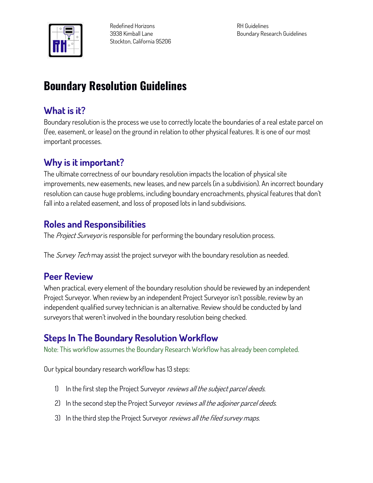

**Redefined Horizons 3938 Kimball Lane Stockton, California 95206** **RH Guidelines Boundary Research Guidelines**

# **Boundary Resolution Guidelines**

#### **What is it?**

**Boundary resolution is the process we use to correctly locate the boundaries of a real estate parcel on (fee, easement, or lease) on the ground in relation to other physical features. It is one of our most important processes.**

# **Why is it important?**

**The ultimate correctness of our boundary resolution impacts the location of physical site improvements, new easements, new leases, and new parcels (in a subdivision). An incorrect boundary resolution can cause huge problems, including boundary encroachments, physical features that don't fall into a related easement, and loss of proposed lots in land subdivisions.**

#### **Roles and Responsibilities**

**The Project Surveyor is responsible for performing the boundary resolution process.**

**The Survey Tech may assist the project surveyor with the boundary resolution as needed.**

#### **Peer Review**

**When practical, every element of the boundary resolution should be reviewed by an independent Project Surveyor. When review by an independent Project Surveyor isn't possible, review by an independent qualified survey technician is an alternative. Review should be conducted by land surveyors that weren't involved in the boundary resolution being checked.**

# **Steps In The Boundary Resolution Workflow**

**Note: This workflow assumes the Boundary Research Workflow has already been completed.**

**Our typical boundary research workflow has 13 steps:**

- **1) In the first step the Project Surveyor reviews all the subject parcel deeds.**
- **2) In the second step the Project Surveyor reviews all the adjoiner parcel deeds.**
- **3) In the third step the Project Surveyor reviews all the filed survey maps.**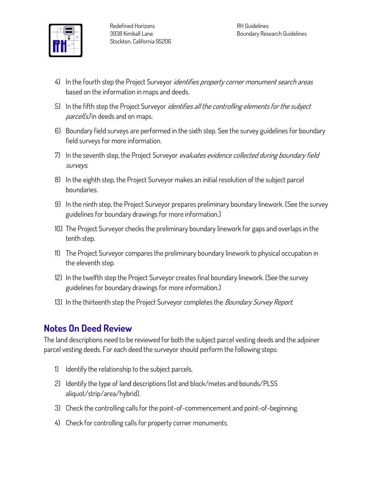

- **4) In the fourth step the Project Surveyor identifies property corner monument search areas based on the information in maps and deeds.**
- **5) In the fifth step the Project Surveyor identifies all the controlling elements for the subject parcel(s) in deeds and on maps.**
- **6) Boundary field surveys are performed in the sixth step. See the survey guidelines for boundary field surveys for more information.**
- **7) In the seventh step, the Project Surveyor evaluates evidence collected during boundary field surveys.**
- **8) In the eighth step, the Project Surveyor makes an initial resolution of the subject parcel boundaries.**
- **9) In the ninth step, the Project Surveyor prepares preliminary boundary linework. (See the survey guidelines for boundary drawings for more information.)**
- **10) The Project Surveyor checks the preliminary boundary linework for gaps and overlaps in the tenth step.**
- **11) The Project Surveyor compares the preliminary boundary linework to physical occupation in the eleventh step.**
- **12) In the twelfth step the Project Surveyor creates final boundary linework. (See the survey guidelines for boundary drawings for more information.)**
- **13) In the thirteenth step the Project Surveyor completes the Boundary Survey Report.**

#### **Notes On Deed Review**

**The land descriptions need to be reviewed for both the subject parcel vesting deeds and the adjoiner parcel vesting deeds. For each deed the surveyor should perform the following steps:**

- **1) Identify the relationship to the subject parcels.**
- **2) Identify the type of land descriptions (lot and block/metes and bounds/PLSS aliquot/strip/area/hybrid).**
- **3) Check the controlling calls for the point-of-commencement and point-of-beginning.**
- **4) Check for controlling calls for property corner monuments.**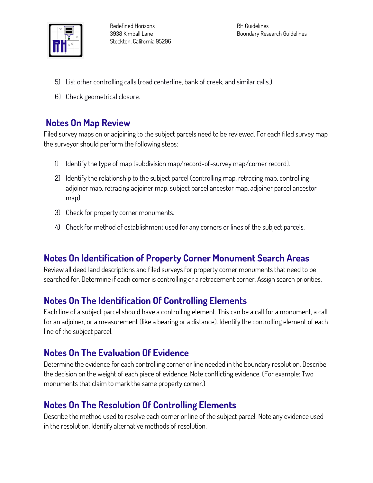

**RH Guidelines Boundary Research Guidelines**

- **5) List other controlling calls (road centerline, bank of creek, and similar calls.)**
- **6) Check geometrical closure.**

#### **Notes On Map Review**

**Filed survey maps on or adjoining to the subject parcels need to be reviewed. For each filed survey map the surveyor should perform the following steps:**

- **1) Identify the type of map (subdivision map/record-of-survey map/corner record).**
- **2) Identify the relationship to the subject parcel (controlling map, retracing map, controlling adjoiner map, retracing adjoiner map, subject parcel ancestor map, adjoiner parcel ancestor map).**
- **3) Check for property corner monuments.**
- **4) Check for method of establishment used for any corners or lines of the subject parcels.**

# **Notes On Identification of Property Corner Monument Search Areas**

**Review all deed land descriptions and filed surveys for property corner monuments that need to be searched for. Determine if each corner is controlling or a retracement corner. Assign search priorities.**

# **Notes On The Identification Of Controlling Elements**

**Each line of a subject parcel should have a controlling element. This can be a call for a monument, a call for an adjoiner, or a measurement (like a bearing or a distance). Identify the controlling element of each line of the subject parcel.**

# **Notes On The Evaluation Of Evidence**

**Determine the evidence for each controlling corner or line needed in the boundary resolution. Describe the decision on the weight of each piece of evidence. Note conflicting evidence. (For example: Two monuments that claim to mark the same property corner.)**

# **Notes On The Resolution Of Controlling Elements**

**Describe the method used to resolve each corner or line of the subject parcel. Note any evidence used in the resolution. Identify alternative methods of resolution.**